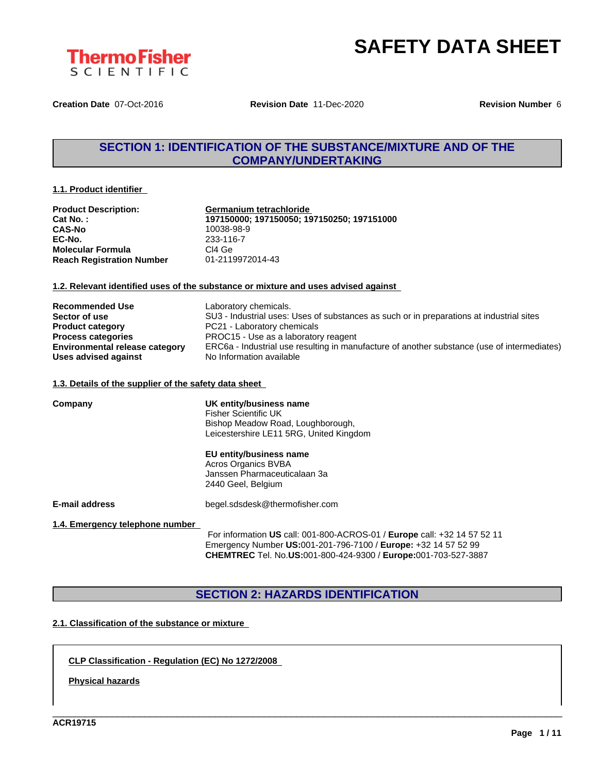

**Creation Date** 07-Oct-2016 **Revision Date** 11-Dec-2020 **Revision Number** 6

# **SECTION 1: IDENTIFICATION OF THE SUBSTANCE/MIXTURE AND OF THE COMPANY/UNDERTAKING**

#### **1.1. Product identifier**

| <b>Product Description:</b>      | Germanium tetrachloride                    |  |  |
|----------------------------------|--------------------------------------------|--|--|
| <b>Cat No.:</b>                  | 197150000; 197150050; 197150250; 197151000 |  |  |
| <b>CAS-No</b>                    | 10038-98-9                                 |  |  |
| EC-No.                           | 233-116-7                                  |  |  |
| <b>Molecular Formula</b>         | CI4 Ge                                     |  |  |
| <b>Reach Registration Number</b> | 01-2119972014-43                           |  |  |

#### **1.2. Relevant identified uses of the substance or mixture and uses advised against**

| <b>Recommended Use</b>                | Laboratory chemicals.                                                                       |
|---------------------------------------|---------------------------------------------------------------------------------------------|
| Sector of use                         | SU3 - Industrial uses: Uses of substances as such or in preparations at industrial sites    |
| <b>Product category</b>               | PC21 - Laboratory chemicals                                                                 |
| <b>Process categories</b>             | PROC15 - Use as a laboratory reagent                                                        |
| <b>Environmental release category</b> | ERC6a - Industrial use resulting in manufacture of another substance (use of intermediates) |
| Uses advised against                  | No Information available                                                                    |

#### **1.3. Details of the supplier of the safety data sheet**

| Company                         | UK entity/business name<br><b>Fisher Scientific UK</b><br>Bishop Meadow Road, Loughborough,<br>Leicestershire LE11 5RG, United Kingdom                                                                              |  |  |  |  |
|---------------------------------|---------------------------------------------------------------------------------------------------------------------------------------------------------------------------------------------------------------------|--|--|--|--|
|                                 | EU entity/business name<br>Acros Organics BVBA<br>Janssen Pharmaceuticalaan 3a<br>2440 Geel, Belgium                                                                                                                |  |  |  |  |
| <b>E-mail address</b>           | begel.sdsdesk@thermofisher.com                                                                                                                                                                                      |  |  |  |  |
| 1.4. Emergency telephone number | For information US call: 001-800-ACROS-01 / Europe call: +32 14 57 52 11<br>Emergency Number US:001-201-796-7100 / Europe: +32 14 57 52 99<br><b>CHEMTREC</b> Tel. No.US:001-800-424-9300 / Europe:001-703-527-3887 |  |  |  |  |

# **SECTION 2: HAZARDS IDENTIFICATION**

\_\_\_\_\_\_\_\_\_\_\_\_\_\_\_\_\_\_\_\_\_\_\_\_\_\_\_\_\_\_\_\_\_\_\_\_\_\_\_\_\_\_\_\_\_\_\_\_\_\_\_\_\_\_\_\_\_\_\_\_\_\_\_\_\_\_\_\_\_\_\_\_\_\_\_\_\_\_\_\_\_\_\_\_\_\_\_\_\_\_\_\_\_\_

#### **2.1. Classification of the substance or mixture**

**CLP Classification - Regulation (EC) No 1272/2008**

**Physical hazards**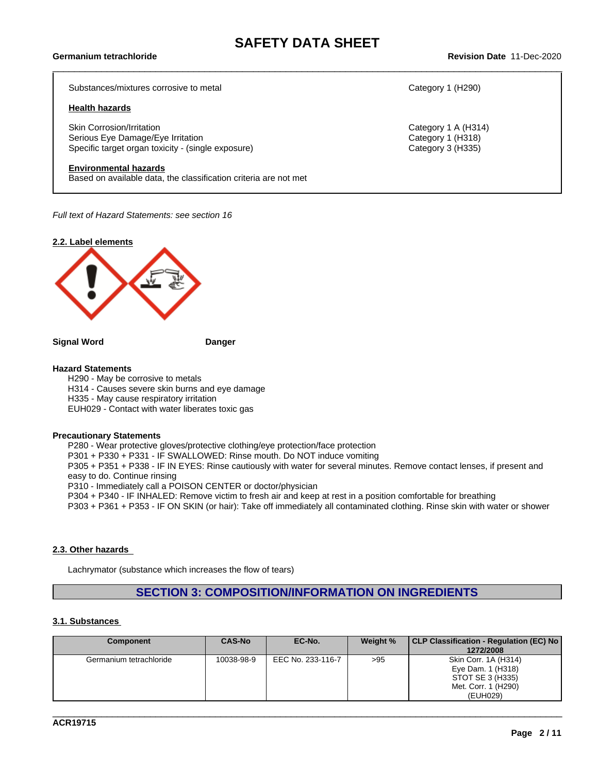Substances/mixtures corrosive to metal Category 1 (H290)

#### **Health hazards**

Skin Corrosion/Irritation **Category 1 A (H314)** Category 1 A (H314) Serious Eye Damage/Eye Irritation Category 1 (H318) Specific target organ toxicity - (single exposure) Category 3 (H335)

#### **Environmental hazards**

Based on available data, the classification criteria are not met

*Full text of Hazard Statements: see section 16*



**Signal Word Danger**

#### **Hazard Statements**

H290 - May be corrosive to metals H314 - Causes severe skin burns and eye damage H335 - May cause respiratory irritation EUH029 - Contact with water liberates toxic gas

#### **Precautionary Statements**

P280 - Wear protective gloves/protective clothing/eye protection/face protection P301 + P330 + P331 - IF SWALLOWED: Rinse mouth. Do NOT induce vomiting P305 + P351 + P338 - IF IN EYES: Rinse cautiously with water for several minutes. Remove contact lenses, if present and easy to do. Continue rinsing P310 - Immediately call a POISON CENTER or doctor/physician P304 + P340 - IF INHALED: Remove victim to fresh air and keep atrest in a position comfortable for breathing P303 + P361 + P353 - IF ON SKIN (or hair): Take off immediately all contaminated clothing. Rinse skin with water or shower

#### **2.3. Other hazards**

Lachrymator (substance which increases the flow of tears)

### **SECTION 3: COMPOSITION/INFORMATION ON INGREDIENTS**

#### **3.1. Substances**

| <b>Component</b>        | <b>CAS-No</b> | EC-No.            | Weight % | CLP Classification - Regulation (EC) No<br>1272/2008                                             |
|-------------------------|---------------|-------------------|----------|--------------------------------------------------------------------------------------------------|
| Germanium tetrachloride | 10038-98-9    | EEC No. 233-116-7 | >95      | Skin Corr. 1A (H314)<br>Eye Dam. 1 (H318)<br>STOT SE 3 (H335)<br>Met. Corr. 1 (H290)<br>(EUH029) |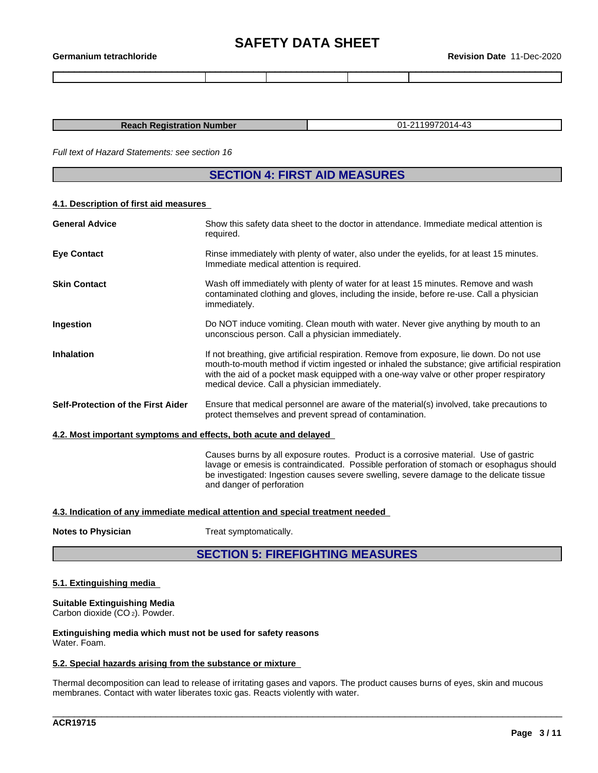| Germanium tetrachloride | $-2020$<br>Dec<br>Date<br>⊀evision |
|-------------------------|------------------------------------|
|                         |                                    |

| <b>Reach Registration Number</b> | -2119972014-43<br>ົາ |
|----------------------------------|----------------------|

*Full text of Hazard Statements: see section 16*

# **SECTION 4: FIRST AID MEASURES**

#### **4.1. Description of first aid measures**

| Show this safety data sheet to the doctor in attendance. Immediate medical attention is<br>required.                                                                                                                                                                                                                                    |
|-----------------------------------------------------------------------------------------------------------------------------------------------------------------------------------------------------------------------------------------------------------------------------------------------------------------------------------------|
| Rinse immediately with plenty of water, also under the eyelids, for at least 15 minutes.<br>Immediate medical attention is required.                                                                                                                                                                                                    |
| Wash off immediately with plenty of water for at least 15 minutes. Remove and wash<br>contaminated clothing and gloves, including the inside, before re-use. Call a physician<br>immediately.                                                                                                                                           |
| Do NOT induce vomiting. Clean mouth with water. Never give anything by mouth to an<br>unconscious person. Call a physician immediately.                                                                                                                                                                                                 |
| If not breathing, give artificial respiration. Remove from exposure, lie down. Do not use<br>mouth-to-mouth method if victim ingested or inhaled the substance; give artificial respiration<br>with the aid of a pocket mask equipped with a one-way valve or other proper respiratory<br>medical device. Call a physician immediately. |
| Ensure that medical personnel are aware of the material(s) involved, take precautions to<br>protect themselves and prevent spread of contamination.                                                                                                                                                                                     |
| 4.2. Most important symptoms and effects, both acute and delayed                                                                                                                                                                                                                                                                        |
| Causes burns by all exposure routes. Product is a corrosive material. Use of gastric<br>lavage or emesis is contraindicated. Possible perforation of stomach or esophagus should<br>be investigated: Ingestion causes severe swelling, severe damage to the delicate tissue<br>and danger of perforation                                |
|                                                                                                                                                                                                                                                                                                                                         |

#### **4.3. Indication of any immediate medical attention and special treatment needed**

**Treat symptomatically.** 

# **SECTION 5: FIREFIGHTING MEASURES**

#### **5.1. Extinguishing media**

# **Suitable Extinguishing Media**

Carbon dioxide (CO 2). Powder.

**Extinguishing media which must not be used for safety reasons** Water. Foam.

#### **5.2. Special hazards arising from the substance or mixture**

Thermal decomposition can lead to release of irritating gases and vapors. The product causes burns of eyes, skin and mucous membranes. Contact with water liberates toxic gas. Reacts violently with water.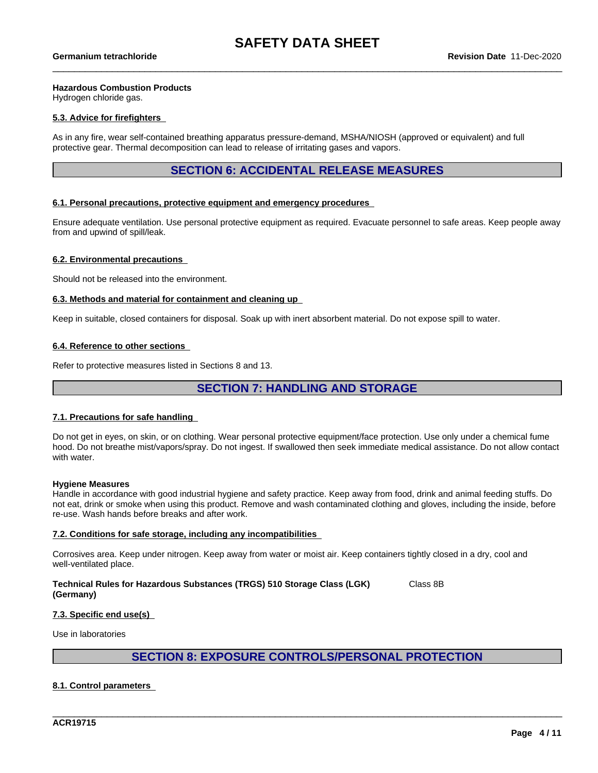#### **Hazardous Combustion Products**

Hydrogen chloride gas.

#### **5.3. Advice for firefighters**

As in any fire, wear self-contained breathing apparatus pressure-demand, MSHA/NIOSH (approved or equivalent) and full protective gear. Thermal decomposition can lead to release of irritating gases and vapors.

#### **SECTION 6: ACCIDENTAL RELEASE MEASURES**

#### **6.1. Personal precautions, protective equipment and emergency procedures**

Ensure adequate ventilation. Use personal protective equipment as required. Evacuate personnel to safe areas. Keep people away from and upwind of spill/leak.

#### **6.2. Environmental precautions**

Should not be released into the environment.

#### **6.3. Methods and material for containment and cleaning up**

Keep in suitable, closed containers for disposal. Soak up with inert absorbent material. Do not expose spill to water.

#### **6.4. Reference to other sections**

Refer to protective measures listed in Sections 8 and 13.

## **SECTION 7: HANDLING AND STORAGE**

#### **7.1. Precautions for safe handling**

Do not get in eyes, on skin, or on clothing. Wear personal protective equipment/face protection. Use only under a chemical fume hood. Do not breathe mist/vapors/spray. Do not ingest. If swallowed then seek immediate medical assistance. Do not allow contact with water.

#### **Hygiene Measures**

Handle in accordance with good industrial hygiene and safety practice. Keep away from food, drink and animal feeding stuffs. Do not eat, drink or smoke when using this product. Remove and wash contaminated clothing and gloves, including the inside, before re-use. Wash hands before breaks and after work.

#### **7.2. Conditions for safe storage, including any incompatibilities**

Corrosives area. Keep under nitrogen. Keep away from water or moist air. Keep containers tightly closed in a dry, cool and well-ventilated place.

**Technical Rules for Hazardous Substances (TRGS) 510 Storage Class (LGK) (Germany)** Class 8B

#### **7.3. Specific end use(s)**

Use in laboratories

**SECTION 8: EXPOSURE CONTROLS/PERSONAL PROTECTION**

\_\_\_\_\_\_\_\_\_\_\_\_\_\_\_\_\_\_\_\_\_\_\_\_\_\_\_\_\_\_\_\_\_\_\_\_\_\_\_\_\_\_\_\_\_\_\_\_\_\_\_\_\_\_\_\_\_\_\_\_\_\_\_\_\_\_\_\_\_\_\_\_\_\_\_\_\_\_\_\_\_\_\_\_\_\_\_\_\_\_\_\_\_\_

#### **8.1. Control parameters**

**ACR19715**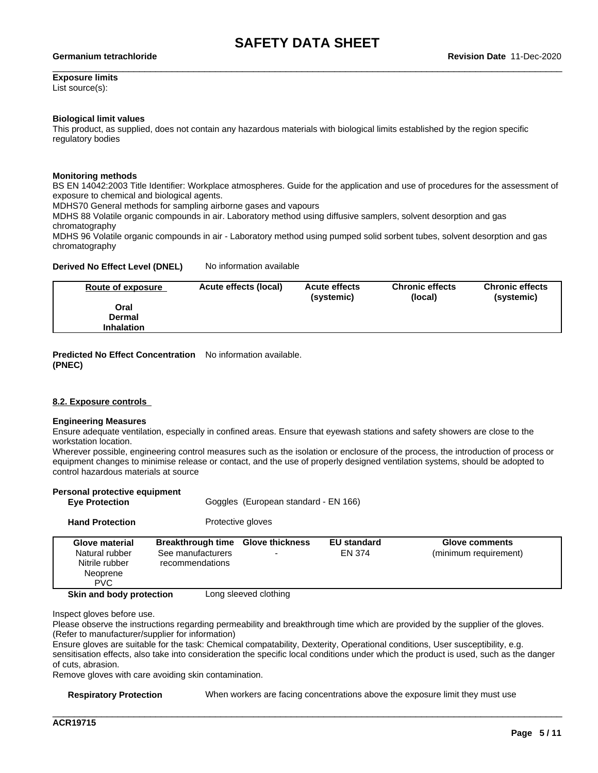# **Exposure limits**

List source(s):

#### **Biological limit values**

This product, as supplied, does not contain any hazardous materials with biological limits established by the region specific regulatory bodies

#### **Monitoring methods**

BS EN 14042:2003 Title Identifier: Workplace atmospheres. Guide for the application and use of procedures for the assessment of exposure to chemical and biological agents.

MDHS70 General methods for sampling airborne gases and vapours

MDHS 88 Volatile organic compounds in air. Laboratory method using diffusive samplers, solvent desorption and gas chromatography

MDHS 96 Volatile organic compounds in air - Laboratory method using pumped solid sorbent tubes, solvent desorption and gas chromatography

#### **Derived No Effect Level (DNEL)** No information available

| Route of exposure | Acute effects (local) | <b>Acute effects</b><br>(systemic) | <b>Chronic effects</b><br>(local) | <b>Chronic effects</b><br>(systemic) |
|-------------------|-----------------------|------------------------------------|-----------------------------------|--------------------------------------|
| Oral              |                       |                                    |                                   |                                      |
| Dermal            |                       |                                    |                                   |                                      |
| <b>Inhalation</b> |                       |                                    |                                   |                                      |

**Predicted No Effect Concentration** No information available. **(PNEC)**

#### **8.2. Exposure controls**

#### **Engineering Measures**

Ensure adequate ventilation, especially in confined areas. Ensure that eyewash stations and safety showers are close to the workstation location.

Wherever possible, engineering control measures such as the isolation or enclosure of the process, the introduction of process or equipment changes to minimise release or contact, and the use of properly designed ventilation systems, should be adopted to control hazardous materials at source

| Personal protective equipment<br><b>Eye Protection</b>                       |                                                                           | Goggles (European standard - EN 166) |                              |                                         |
|------------------------------------------------------------------------------|---------------------------------------------------------------------------|--------------------------------------|------------------------------|-----------------------------------------|
| <b>Hand Protection</b>                                                       |                                                                           | Protective gloves                    |                              |                                         |
| Glove material<br>Natural rubber<br>Nitrile rubber<br>Neoprene<br><b>PVC</b> | Breakthrough time Glove thickness<br>See manufacturers<br>recommendations |                                      | <b>EU</b> standard<br>EN 374 | Glove comments<br>(minimum requirement) |
| Skin and body protection                                                     |                                                                           | Long sleeved clothing                |                              |                                         |

Inspect gloves before use.

Please observe the instructions regarding permeability and breakthrough time which are provided by the supplier of the gloves. (Refer to manufacturer/supplier for information)

Ensure gloves are suitable for the task: Chemical compatability, Dexterity, Operational conditions, User susceptibility, e.g. sensitisation effects, also take into consideration the specific local conditions under which the product is used, such as the danger of cuts, abrasion.

Remove gloves with care avoiding skin contamination.

**Respiratory Protection** When workers are facing concentrations above the exposure limit they must use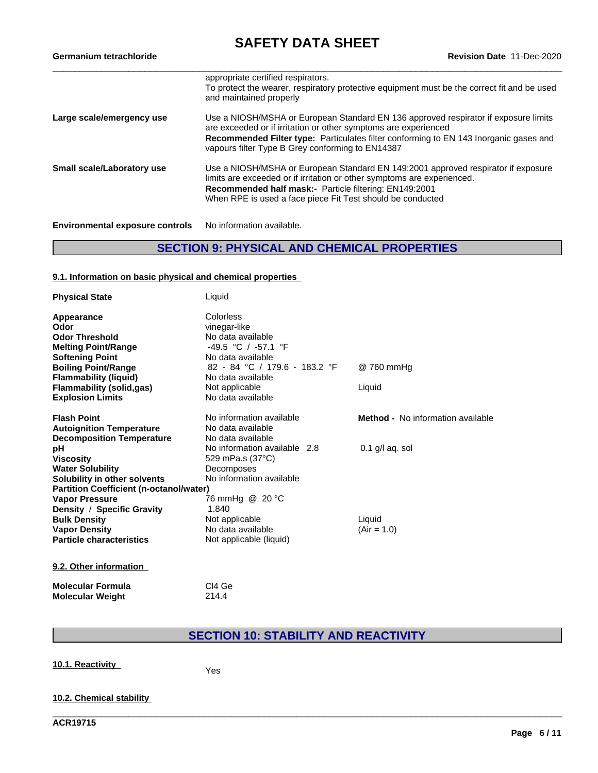# **SAFETY DATA SHEET**<br>Revision Date 11-Dec-2020

| Germanium tetrachloride                | <b>Revision Date 11-Dec-2020</b>                                                                                                                                                                                                                                                                           |  |  |
|----------------------------------------|------------------------------------------------------------------------------------------------------------------------------------------------------------------------------------------------------------------------------------------------------------------------------------------------------------|--|--|
|                                        | appropriate certified respirators.<br>To protect the wearer, respiratory protective equipment must be the correct fit and be used<br>and maintained properly                                                                                                                                               |  |  |
| Large scale/emergency use              | Use a NIOSH/MSHA or European Standard EN 136 approved respirator if exposure limits<br>are exceeded or if irritation or other symptoms are experienced<br><b>Recommended Filter type:</b> Particulates filter conforming to EN 143 Inorganic gases and<br>vapours filter Type B Grey conforming to EN14387 |  |  |
| Small scale/Laboratory use             | Use a NIOSH/MSHA or European Standard EN 149:2001 approved respirator if exposure<br>limits are exceeded or if irritation or other symptoms are experienced.<br><b>Recommended half mask:-</b> Particle filtering: EN149:2001<br>When RPE is used a face piece Fit Test should be conducted                |  |  |
| <b>Environmental exposure controls</b> | No information available.                                                                                                                                                                                                                                                                                  |  |  |

# **SECTION 9: PHYSICAL AND CHEMICAL PROPERTIES**

#### **9.1. Information on basic physical and chemical properties**

| <b>Physical State</b>                          | Liquid                        |                                          |
|------------------------------------------------|-------------------------------|------------------------------------------|
| Appearance                                     | Colorless                     |                                          |
| Odor                                           | vinegar-like                  |                                          |
| <b>Odor Threshold</b>                          | No data available             |                                          |
| <b>Melting Point/Range</b>                     | $-49.5$ °C / $-57.1$ °F       |                                          |
| <b>Softening Point</b>                         | No data available             |                                          |
| <b>Boiling Point/Range</b>                     | 82 - 84 °C / 179.6 - 183.2 °F | @760 mmHg                                |
| <b>Flammability (liquid)</b>                   | No data available             |                                          |
| <b>Flammability (solid,gas)</b>                | Not applicable                | Liquid                                   |
| <b>Explosion Limits</b>                        | No data available             |                                          |
| <b>Flash Point</b>                             | No information available      | <b>Method -</b> No information available |
| <b>Autoignition Temperature</b>                | No data available             |                                          |
| <b>Decomposition Temperature</b>               | No data available             |                                          |
| рH                                             | No information available 2.8  | $0.1$ g/l aq. sol                        |
| <b>Viscosity</b>                               | 529 mPa.s (37°C)              |                                          |
| <b>Water Solubility</b>                        | Decomposes                    |                                          |
| Solubility in other solvents                   | No information available      |                                          |
| <b>Partition Coefficient (n-octanol/water)</b> |                               |                                          |
| <b>Vapor Pressure</b>                          | 76 mmHg @ 20 °C               |                                          |
| Density / Specific Gravity                     | 1.840                         |                                          |
| <b>Bulk Density</b>                            | Not applicable                | Liquid                                   |
| <b>Vapor Density</b>                           | No data available             | $(Air = 1.0)$                            |
| <b>Particle characteristics</b>                | Not applicable (liquid)       |                                          |
| 9.2. Other information                         |                               |                                          |

### **Molecular Formula** Cl4 Ge<br> **Molecular Weight** 214.4 **Molecular Weight**

# **SECTION 10: STABILITY AND REACTIVITY**

\_\_\_\_\_\_\_\_\_\_\_\_\_\_\_\_\_\_\_\_\_\_\_\_\_\_\_\_\_\_\_\_\_\_\_\_\_\_\_\_\_\_\_\_\_\_\_\_\_\_\_\_\_\_\_\_\_\_\_\_\_\_\_\_\_\_\_\_\_\_\_\_\_\_\_\_\_\_\_\_\_\_\_\_\_\_\_\_\_\_\_\_\_\_

**10.1. Reactivity** Yes

#### **10.2. Chemical stability**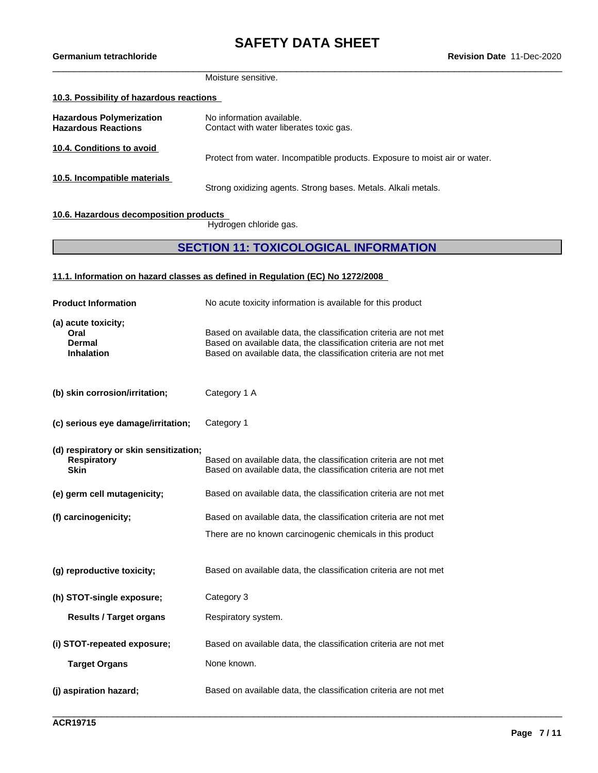#### Moisture sensitive.

#### **10.3. Possibility of hazardous reactions**

| <b>Hazardous Polymerization</b><br><b>Hazardous Reactions</b> | No information available.<br>Contact with water liberates toxic gas.       |
|---------------------------------------------------------------|----------------------------------------------------------------------------|
| 10.4. Conditions to avoid                                     | Protect from water. Incompatible products. Exposure to moist air or water. |
| 10.5. Incompatible materials                                  | Strong oxidizing agents. Strong bases. Metals. Alkali metals.              |

#### **10.6. Hazardous decomposition products**

Hydrogen chloride gas.

# **SECTION 11: TOXICOLOGICAL INFORMATION**

\_\_\_\_\_\_\_\_\_\_\_\_\_\_\_\_\_\_\_\_\_\_\_\_\_\_\_\_\_\_\_\_\_\_\_\_\_\_\_\_\_\_\_\_\_\_\_\_\_\_\_\_\_\_\_\_\_\_\_\_\_\_\_\_\_\_\_\_\_\_\_\_\_\_\_\_\_\_\_\_\_\_\_\_\_\_\_\_\_\_\_\_\_\_

#### **11.1. Information on hazard classes as defined in Regulation (EC) No 1272/2008**

| <b>Product Information</b>                                                  | No acute toxicity information is available for this product                                                                                                                                              |
|-----------------------------------------------------------------------------|----------------------------------------------------------------------------------------------------------------------------------------------------------------------------------------------------------|
| (a) acute toxicity;<br>Oral<br><b>Dermal</b><br><b>Inhalation</b>           | Based on available data, the classification criteria are not met<br>Based on available data, the classification criteria are not met<br>Based on available data, the classification criteria are not met |
| (b) skin corrosion/irritation;                                              | Category 1 A                                                                                                                                                                                             |
| (c) serious eye damage/irritation;                                          | Category 1                                                                                                                                                                                               |
| (d) respiratory or skin sensitization;<br><b>Respiratory</b><br><b>Skin</b> | Based on available data, the classification criteria are not met<br>Based on available data, the classification criteria are not met                                                                     |
| (e) germ cell mutagenicity;                                                 | Based on available data, the classification criteria are not met                                                                                                                                         |
| (f) carcinogenicity;                                                        | Based on available data, the classification criteria are not met                                                                                                                                         |
|                                                                             | There are no known carcinogenic chemicals in this product                                                                                                                                                |
| (g) reproductive toxicity;                                                  | Based on available data, the classification criteria are not met                                                                                                                                         |
| (h) STOT-single exposure;                                                   | Category 3                                                                                                                                                                                               |
| <b>Results / Target organs</b>                                              | Respiratory system.                                                                                                                                                                                      |
| (i) STOT-repeated exposure;                                                 | Based on available data, the classification criteria are not met                                                                                                                                         |
| <b>Target Organs</b>                                                        | None known.                                                                                                                                                                                              |
| (j) aspiration hazard;                                                      | Based on available data, the classification criteria are not met                                                                                                                                         |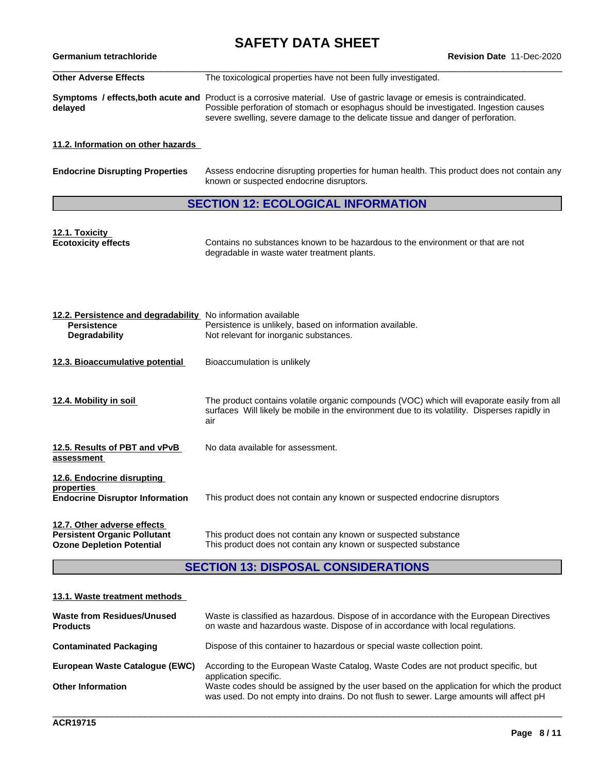# **SAFETY DATA SHEET**<br>Revision Date 11-Dec-2020

| Germanium tetrachloride      | <b>Revision Date 11-Dec-2020</b>                                                                                                                                                                                                                                                                            |
|------------------------------|-------------------------------------------------------------------------------------------------------------------------------------------------------------------------------------------------------------------------------------------------------------------------------------------------------------|
| <b>Other Adverse Effects</b> | The toxicological properties have not been fully investigated.                                                                                                                                                                                                                                              |
| delaved                      | <b>Symptoms / effects, both acute and Product is a corrosive material. Use of gastric lavage or emesis is contraindicated.</b><br>Possible perforation of stomach or esophagus should be investigated. Ingestion causes<br>severe swelling, severe damage to the delicate tissue and danger of perforation. |

**11.2. Information on other hazards**

| <b>Endocrine Disrupting Properties</b> | Assess endocrine disrupting properties for human health. This product does not contain any<br>known or suspected endocrine disruptors. |
|----------------------------------------|----------------------------------------------------------------------------------------------------------------------------------------|
|                                        |                                                                                                                                        |

# **SECTION 12: ECOLOGICAL INFORMATION**

| 12.1. Toxicity             |                                                                                 |
|----------------------------|---------------------------------------------------------------------------------|
| <b>Ecotoxicity effects</b> | Contains no substances known to be hazardous to the environment or that are not |
|                            | degradable in waste water treatment plants.                                     |

| 12.2. Persistence and degradability No information available<br><b>Persistence</b><br><b>Degradability</b> | Persistence is unlikely, based on information available.<br>Not relevant for inorganic substances.                                                                                                 |
|------------------------------------------------------------------------------------------------------------|----------------------------------------------------------------------------------------------------------------------------------------------------------------------------------------------------|
| 12.3. Bioaccumulative potential                                                                            | Bioaccumulation is unlikely                                                                                                                                                                        |
| 12.4. Mobility in soil                                                                                     | The product contains volatile organic compounds (VOC) which will evaporate easily from all<br>surfaces Will likely be mobile in the environment due to its volatility. Disperses rapidly in<br>air |
| 12.5. Results of PBT and vPvB<br>assessment                                                                | No data available for assessment.                                                                                                                                                                  |
| 12.6. Endocrine disrupting<br>properties<br><b>Endocrine Disruptor Information</b>                         | This product does not contain any known or suspected endocrine disruptors                                                                                                                          |
| 12.7. Other adverse effects<br><b>Persistent Organic Pollutant</b><br><b>Ozone Depletion Potential</b>     | This product does not contain any known or suspected substance<br>This product does not contain any known or suspected substance                                                                   |

# **SECTION 13: DISPOSAL CONSIDERATIONS**

#### **13.1. Waste treatment methods**

| <b>Waste from Residues/Unused</b><br><b>Products</b> | Waste is classified as hazardous. Dispose of in accordance with the European Directives<br>on waste and hazardous waste. Dispose of in accordance with local regulations.            |
|------------------------------------------------------|--------------------------------------------------------------------------------------------------------------------------------------------------------------------------------------|
| <b>Contaminated Packaging</b>                        | Dispose of this container to hazardous or special waste collection point.                                                                                                            |
| European Waste Catalogue (EWC)                       | According to the European Waste Catalog, Waste Codes are not product specific, but<br>application specific.                                                                          |
| <b>Other Information</b>                             | Waste codes should be assigned by the user based on the application for which the product<br>was used. Do not empty into drains. Do not flush to sewer. Large amounts will affect pH |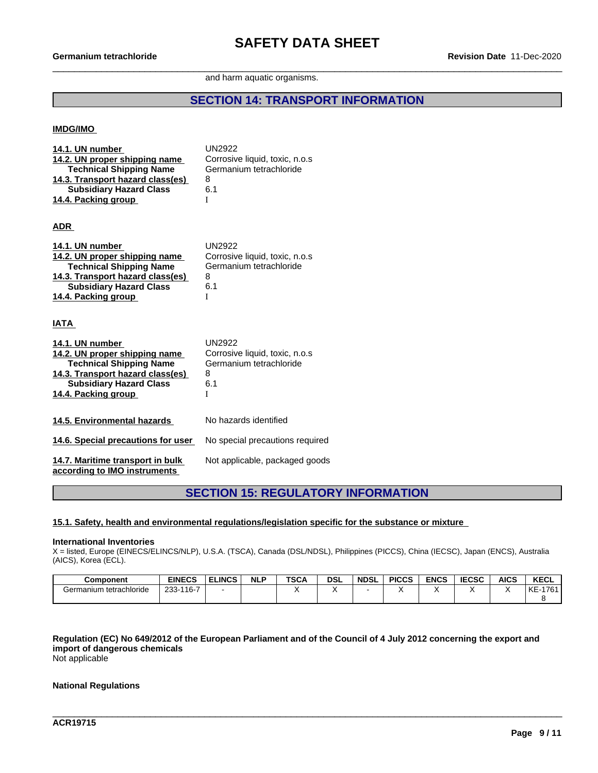#### and harm aquatic organisms.

# **SECTION 14: TRANSPORT INFORMATION**

#### **IMDG/IMO**

| 14.1. UN number<br>14.2. UN proper shipping name<br><b>Technical Shipping Name</b><br>14.3. Transport hazard class(es)<br><b>Subsidiary Hazard Class</b><br>14.4. Packing group | <b>UN2922</b><br>Corrosive liquid, toxic, n.o.s<br>Germanium tetrachloride<br>8<br>6.1<br>I |
|---------------------------------------------------------------------------------------------------------------------------------------------------------------------------------|---------------------------------------------------------------------------------------------|
| <b>ADR</b>                                                                                                                                                                      |                                                                                             |
| 14.1. UN number<br>14.2. UN proper shipping name<br><b>Technical Shipping Name</b><br>14.3. Transport hazard class(es)<br><b>Subsidiary Hazard Class</b><br>14.4. Packing group | UN2922<br>Corrosive liquid, toxic, n.o.s<br>Germanium tetrachloride<br>8<br>6.1<br>Т        |
| <b>IATA</b>                                                                                                                                                                     |                                                                                             |
| 14.1. UN number<br>14.2. UN proper shipping name<br><b>Technical Shipping Name</b><br>14.3. Transport hazard class(es)<br><b>Subsidiary Hazard Class</b><br>14.4. Packing group | <b>UN2922</b><br>Corrosive liquid, toxic, n.o.s<br>Germanium tetrachloride<br>8<br>6.1<br>T |
| 14.5. Environmental hazards                                                                                                                                                     | No hazards identified                                                                       |
| 14.6. Special precautions for user                                                                                                                                              | No special precautions required                                                             |
| 14.7. Maritime transport in bulk<br>according to IMO instruments                                                                                                                | Not applicable, packaged goods                                                              |

### **SECTION 15: REGULATORY INFORMATION**

#### **15.1. Safety, health and environmental regulations/legislation specific for the substance or mixture**

#### **International Inventories**

X = listed, Europe (EINECS/ELINCS/NLP), U.S.A. (TSCA), Canada (DSL/NDSL), Philippines (PICCS), China (IECSC), Japan (ENCS), Australia (AICS), Korea (ECL).

| <b>Component</b>             | <b>EINECS</b> | <b>ELINCS</b> | <b>NLF</b> | <b>TSCA</b> | <b>DSL</b> | <b>NDSL</b> | <b>PICCS</b> | <b>ENCS</b> | rraa<br>ະບວບ | <b>AICS</b> | <b>KECL</b> |
|------------------------------|---------------|---------------|------------|-------------|------------|-------------|--------------|-------------|--------------|-------------|-------------|
| Germanium<br>າ tetrachloride | -116-7<br>233 |               |            |             |            |             |              |             |              |             | KE-1761     |
|                              |               |               |            |             |            |             |              |             |              |             |             |

## Regulation (EC) No 649/2012 of the European Parliament and of the Council of 4 July 2012 concerning the export and **import of dangerous chemicals**

\_\_\_\_\_\_\_\_\_\_\_\_\_\_\_\_\_\_\_\_\_\_\_\_\_\_\_\_\_\_\_\_\_\_\_\_\_\_\_\_\_\_\_\_\_\_\_\_\_\_\_\_\_\_\_\_\_\_\_\_\_\_\_\_\_\_\_\_\_\_\_\_\_\_\_\_\_\_\_\_\_\_\_\_\_\_\_\_\_\_\_\_\_\_

Not applicable

#### **National Regulations**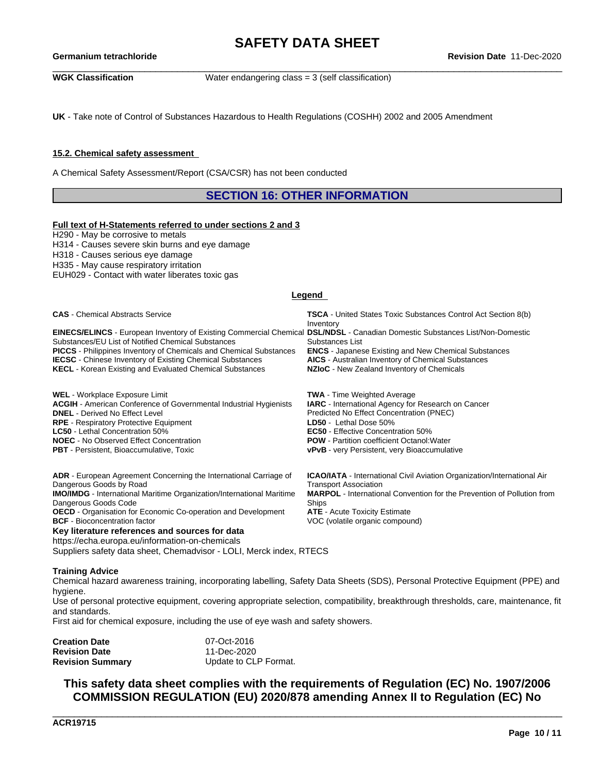\_\_\_\_\_\_\_\_\_\_\_\_\_\_\_\_\_\_\_\_\_\_\_\_\_\_\_\_\_\_\_\_\_\_\_\_\_\_\_\_\_\_\_\_\_\_\_\_\_\_\_\_\_\_\_\_\_\_\_\_\_\_\_\_\_\_\_\_\_\_\_\_\_\_\_\_\_\_\_\_\_\_\_\_\_\_\_\_\_\_\_\_\_\_ **Germanium tetrachlorideRevision Date** 11-Dec-2020

**WGK Classification** Water endangering class = 3 (self classification)

**UK** - Take note of Control of Substances Hazardous to Health Regulations (COSHH) 2002 and 2005 Amendment

#### **15.2. Chemical safety assessment**

A Chemical Safety Assessment/Report (CSA/CSR) has not been conducted

**SECTION 16: OTHER INFORMATION**

#### **Full text of H-Statements referred to undersections 2 and 3**

H290 - May be corrosive to metals H314 - Causes severe skin burns and eye damage H318 - Causes serious eye damage H335 - May cause respiratory irritation

EUH029 - Contact with water liberates toxic gas

#### **Legend**

| <b>CAS</b> - Chemical Abstracts Service                                                                                                                                                                                                                                                                                                                                                                       | <b>TSCA</b> - United States Toxic Substances Control Act Section 8(b)<br>Inventory                                                                                                                                                                                                                                             |
|---------------------------------------------------------------------------------------------------------------------------------------------------------------------------------------------------------------------------------------------------------------------------------------------------------------------------------------------------------------------------------------------------------------|--------------------------------------------------------------------------------------------------------------------------------------------------------------------------------------------------------------------------------------------------------------------------------------------------------------------------------|
| <b>EINECS/ELINCS</b> - European Inventory of Existing Commercial Chemical DSL/NDSL - Canadian Domestic Substances List/Non-Domestic<br>Substances/EU List of Notified Chemical Substances<br><b>PICCS</b> - Philippines Inventory of Chemicals and Chemical Substances<br><b>IECSC</b> - Chinese Inventory of Existing Chemical Substances<br><b>KECL</b> - Korean Existing and Evaluated Chemical Substances | Substances List<br><b>ENCS</b> - Japanese Existing and New Chemical Substances<br><b>AICS</b> - Australian Inventory of Chemical Substances<br>NZIoC - New Zealand Inventory of Chemicals                                                                                                                                      |
| <b>WEL</b> - Workplace Exposure Limit<br><b>ACGIH</b> - American Conference of Governmental Industrial Hygienists<br><b>DNEL</b> - Derived No Effect Level<br><b>RPE</b> - Respiratory Protective Equipment<br><b>LC50</b> - Lethal Concentration 50%<br><b>NOEC</b> - No Observed Effect Concentration<br><b>PBT</b> - Persistent, Bioaccumulative, Toxic                                                    | <b>TWA</b> - Time Weighted Average<br><b>IARC</b> - International Agency for Research on Cancer<br>Predicted No Effect Concentration (PNEC)<br>LD50 - Lethal Dose 50%<br><b>EC50</b> - Effective Concentration 50%<br><b>POW</b> - Partition coefficient Octanol: Water<br><b>vPvB</b> - very Persistent, very Bioaccumulative |
| <b>ADR</b> - European Agreement Concerning the International Carriage of<br>Dangerous Goods by Road<br><b>IMO/IMDG</b> - International Maritime Organization/International Maritime<br>Dangerous Goods Code<br>OECD - Organisation for Economic Co-operation and Development                                                                                                                                  | <b>ICAO/IATA</b> - International Civil Aviation Organization/International Air<br><b>Transport Association</b><br><b>MARPOL</b> - International Convention for the Prevention of Pollution from<br>Ships<br><b>ATE</b> - Acute Toxicity Estimate                                                                               |

**BCF** - Bioconcentration factor **VOC** (volatile organic compound)

**Key literature references and sources for data**

https://echa.europa.eu/information-on-chemicals

Suppliers safety data sheet, Chemadvisor - LOLI, Merck index, RTECS

#### **Training Advice**

Chemical hazard awareness training, incorporating labelling, Safety Data Sheets (SDS), Personal Protective Equipment (PPE) and hygiene.

Use of personal protective equipment, covering appropriate selection, compatibility, breakthrough thresholds, care, maintenance, fit and standards.

First aid for chemical exposure, including the use of eye wash and safety showers.

| Creation Date           | 07-Oct-2016           |  |
|-------------------------|-----------------------|--|
| <b>Revision Date</b>    | 11-Dec-2020           |  |
| <b>Revision Summary</b> | Update to CLP Format. |  |

# **This safety data sheet complies with the requirements of Regulation (EC) No. 1907/2006 COMMISSION REGULATION (EU) 2020/878 amending Annex II to Regulation (EC) No**